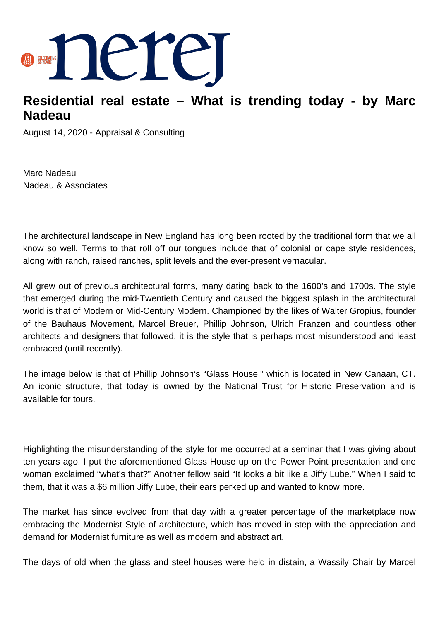

## **Residential real estate – What is trending today - by Marc Nadeau**

August 14, 2020 - Appraisal & Consulting

Marc Nadeau Nadeau & Associates

The architectural landscape in New England has long been rooted by the traditional form that we all know so well. Terms to that roll off our tongues include that of colonial or cape style residences, along with ranch, raised ranches, split levels and the ever-present vernacular.

All grew out of previous architectural forms, many dating back to the 1600's and 1700s. The style that emerged during the mid-Twentieth Century and caused the biggest splash in the architectural world is that of Modern or Mid-Century Modern. Championed by the likes of Walter Gropius, founder of the Bauhaus Movement, Marcel Breuer, Phillip Johnson, Ulrich Franzen and countless other architects and designers that followed, it is the style that is perhaps most misunderstood and least embraced (until recently).

The image below is that of Phillip Johnson's "Glass House," which is located in New Canaan, CT. An iconic structure, that today is owned by the National Trust for Historic Preservation and is available for tours.

Highlighting the misunderstanding of the style for me occurred at a seminar that I was giving about ten years ago. I put the aforementioned Glass House up on the Power Point presentation and one woman exclaimed "what's that?" Another fellow said "It looks a bit like a Jiffy Lube." When I said to them, that it was a \$6 million Jiffy Lube, their ears perked up and wanted to know more.

The market has since evolved from that day with a greater percentage of the marketplace now embracing the Modernist Style of architecture, which has moved in step with the appreciation and demand for Modernist furniture as well as modern and abstract art.

The days of old when the glass and steel houses were held in distain, a Wassily Chair by Marcel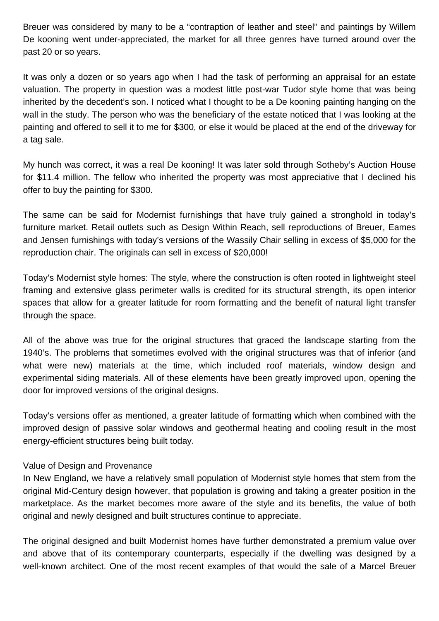Breuer was considered by many to be a "contraption of leather and steel" and paintings by Willem De kooning went under-appreciated, the market for all three genres have turned around over the past 20 or so years.

It was only a dozen or so years ago when I had the task of performing an appraisal for an estate valuation. The property in question was a modest little post-war Tudor style home that was being inherited by the decedent's son. I noticed what I thought to be a De kooning painting hanging on the wall in the study. The person who was the beneficiary of the estate noticed that I was looking at the painting and offered to sell it to me for \$300, or else it would be placed at the end of the driveway for a tag sale.

My hunch was correct, it was a real De kooning! It was later sold through Sotheby's Auction House for \$11.4 million. The fellow who inherited the property was most appreciative that I declined his offer to buy the painting for \$300.

The same can be said for Modernist furnishings that have truly gained a stronghold in today's furniture market. Retail outlets such as Design Within Reach, sell reproductions of Breuer, Eames and Jensen furnishings with today's versions of the Wassily Chair selling in excess of \$5,000 for the reproduction chair. The originals can sell in excess of \$20,000!

Today's Modernist style homes: The style, where the construction is often rooted in lightweight steel framing and extensive glass perimeter walls is credited for its structural strength, its open interior spaces that allow for a greater latitude for room formatting and the benefit of natural light transfer through the space.

All of the above was true for the original structures that graced the landscape starting from the 1940's. The problems that sometimes evolved with the original structures was that of inferior (and what were new) materials at the time, which included roof materials, window design and experimental siding materials. All of these elements have been greatly improved upon, opening the door for improved versions of the original designs.

Today's versions offer as mentioned, a greater latitude of formatting which when combined with the improved design of passive solar windows and geothermal heating and cooling result in the most energy-efficient structures being built today.

## Value of Design and Provenance

In New England, we have a relatively small population of Modernist style homes that stem from the original Mid-Century design however, that population is growing and taking a greater position in the marketplace. As the market becomes more aware of the style and its benefits, the value of both original and newly designed and built structures continue to appreciate.

The original designed and built Modernist homes have further demonstrated a premium value over and above that of its contemporary counterparts, especially if the dwelling was designed by a well-known architect. One of the most recent examples of that would the sale of a Marcel Breuer